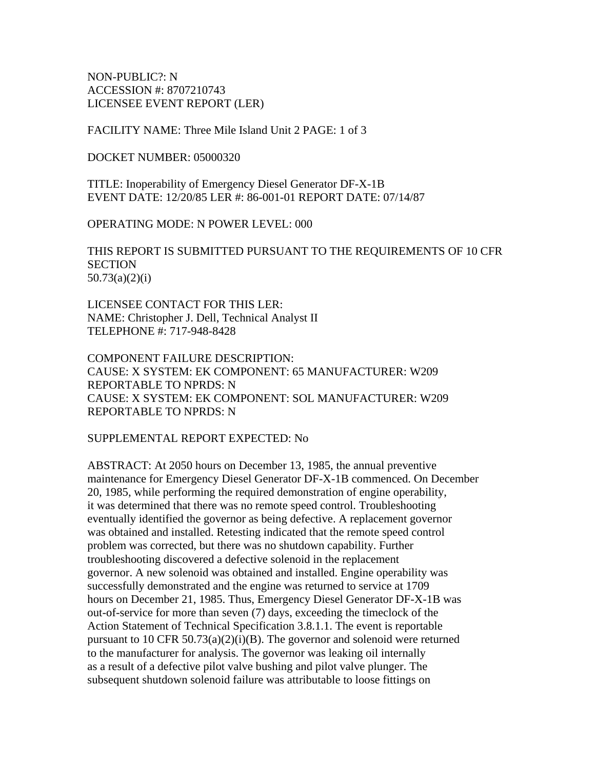NON-PUBLIC?: N ACCESSION #: 8707210743 LICENSEE EVENT REPORT (LER)

FACILITY NAME: Three Mile Island Unit 2 PAGE: 1 of 3

DOCKET NUMBER: 05000320

TITLE: Inoperability of Emergency Diesel Generator DF-X-1B EVENT DATE: 12/20/85 LER #: 86-001-01 REPORT DATE: 07/14/87

OPERATING MODE: N POWER LEVEL: 000

THIS REPORT IS SUBMITTED PURSUANT TO THE REQUIREMENTS OF 10 CFR **SECTION** 50.73(a)(2)(i)

LICENSEE CONTACT FOR THIS LER: NAME: Christopher J. Dell, Technical Analyst II TELEPHONE #: 717-948-8428

COMPONENT FAILURE DESCRIPTION: CAUSE: X SYSTEM: EK COMPONENT: 65 MANUFACTURER: W209 REPORTABLE TO NPRDS: N CAUSE: X SYSTEM: EK COMPONENT: SOL MANUFACTURER: W209 REPORTABLE TO NPRDS: N

SUPPLEMENTAL REPORT EXPECTED: No

ABSTRACT: At 2050 hours on December 13, 1985, the annual preventive maintenance for Emergency Diesel Generator DF-X-1B commenced. On December 20, 1985, while performing the required demonstration of engine operability, it was determined that there was no remote speed control. Troubleshooting eventually identified the governor as being defective. A replacement governor was obtained and installed. Retesting indicated that the remote speed control problem was corrected, but there was no shutdown capability. Further troubleshooting discovered a defective solenoid in the replacement governor. A new solenoid was obtained and installed. Engine operability was successfully demonstrated and the engine was returned to service at 1709 hours on December 21, 1985. Thus, Emergency Diesel Generator DF-X-1B was out-of-service for more than seven (7) days, exceeding the timeclock of the Action Statement of Technical Specification 3.8.1.1. The event is reportable pursuant to 10 CFR 50.73(a)(2)(i)(B). The governor and solenoid were returned to the manufacturer for analysis. The governor was leaking oil internally as a result of a defective pilot valve bushing and pilot valve plunger. The subsequent shutdown solenoid failure was attributable to loose fittings on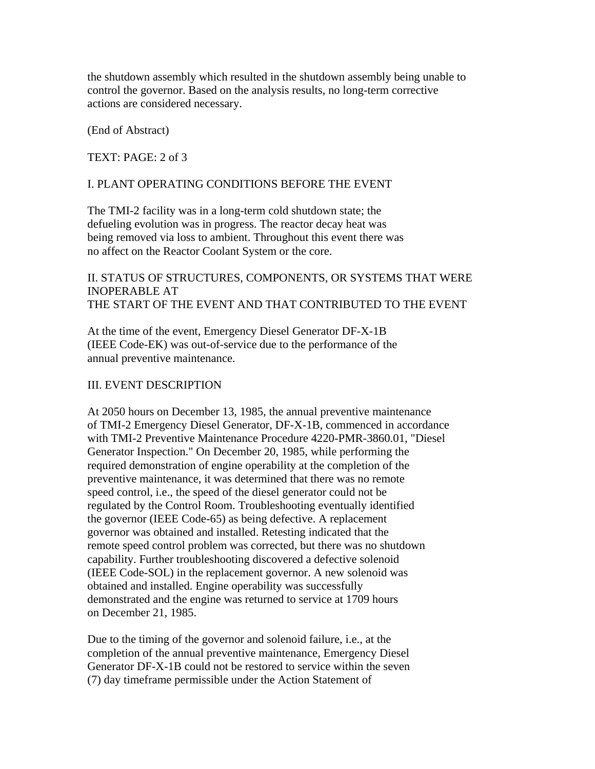the shutdown assembly which resulted in the shutdown assembly being unable to control the governor. Based on the analysis results, no long-term corrective actions are considered necessary.

(End of Abstract)

TEXT: PAGE: 2 of 3

#### I. PLANT OPERATING CONDITIONS BEFORE THE EVENT

The TMI-2 facility was in a long-term cold shutdown state; the defueling evolution was in progress. The reactor decay heat was being removed via loss to ambient. Throughout this event there was no affect on the Reactor Coolant System or the core.

# II. STATUS OF STRUCTURES, COMPONENTS, OR SYSTEMS THAT WERE INOPERABLE AT THE START OF THE EVENT AND THAT CONTRIBUTED TO THE EVENT

At the time of the event, Emergency Diesel Generator DF-X-1B (IEEE Code-EK) was out-of-service due to the performance of the annual preventive maintenance.

#### III. EVENT DESCRIPTION

At 2050 hours on December 13, 1985, the annual preventive maintenance of TMI-2 Emergency Diesel Generator, DF-X-1B, commenced in accordance with TMI-2 Preventive Maintenance Procedure 4220-PMR-3860.01, "Diesel Generator Inspection." On December 20, 1985, while performing the required demonstration of engine operability at the completion of the preventive maintenance, it was determined that there was no remote speed control, i.e., the speed of the diesel generator could not be regulated by the Control Room. Troubleshooting eventually identified the governor (IEEE Code-65) as being defective. A replacement governor was obtained and installed. Retesting indicated that the remote speed control problem was corrected, but there was no shutdown capability. Further troubleshooting discovered a defective solenoid (IEEE Code-SOL) in the replacement governor. A new solenoid was obtained and installed. Engine operability was successfully demonstrated and the engine was returned to service at 1709 hours on December 21, 1985.

Due to the timing of the governor and solenoid failure, i.e., at the completion of the annual preventive maintenance, Emergency Diesel Generator DF-X-1B could not be restored to service within the seven (7) day timeframe permissible under the Action Statement of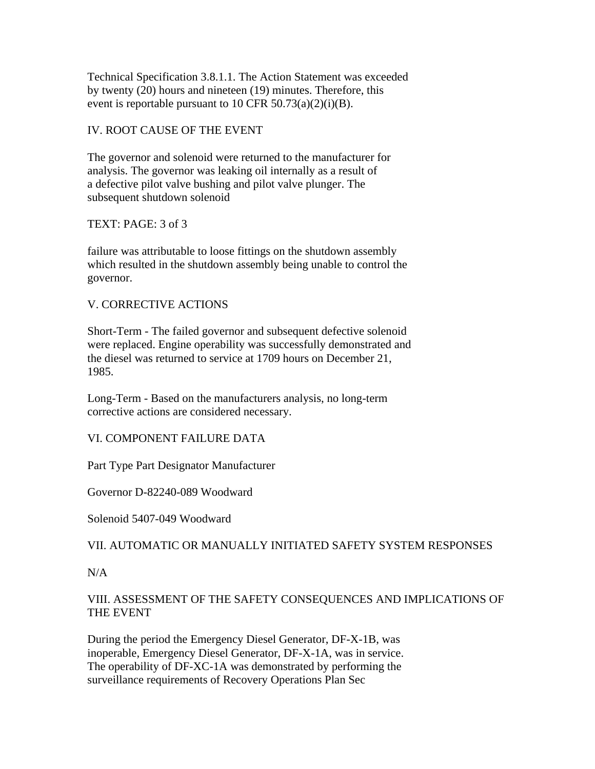Technical Specification 3.8.1.1. The Action Statement was exceeded by twenty (20) hours and nineteen (19) minutes. Therefore, this event is reportable pursuant to 10 CFR  $50.73(a)(2)(i)(B)$ .

# IV. ROOT CAUSE OF THE EVENT

The governor and solenoid were returned to the manufacturer for analysis. The governor was leaking oil internally as a result of a defective pilot valve bushing and pilot valve plunger. The subsequent shutdown solenoid

#### TEXT: PAGE: 3 of 3

failure was attributable to loose fittings on the shutdown assembly which resulted in the shutdown assembly being unable to control the governor.

### V. CORRECTIVE ACTIONS

Short-Term - The failed governor and subsequent defective solenoid were replaced. Engine operability was successfully demonstrated and the diesel was returned to service at 1709 hours on December 21, 1985.

Long-Term - Based on the manufacturers analysis, no long-term corrective actions are considered necessary.

VI. COMPONENT FAILURE DATA

Part Type Part Designator Manufacturer

Governor D-82240-089 Woodward

Solenoid 5407-049 Woodward

#### VII. AUTOMATIC OR MANUALLY INITIATED SAFETY SYSTEM RESPONSES

 $N/A$ 

# VIII. ASSESSMENT OF THE SAFETY CONSEQUENCES AND IMPLICATIONS OF THE EVENT

During the period the Emergency Diesel Generator, DF-X-1B, was inoperable, Emergency Diesel Generator, DF-X-1A, was in service. The operability of DF-XC-1A was demonstrated by performing the surveillance requirements of Recovery Operations Plan Sec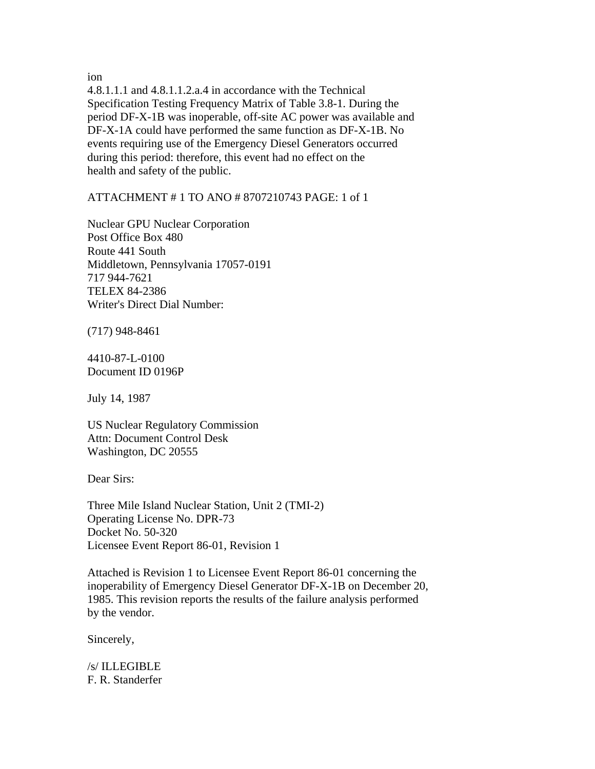ion

4.8.1.1.1 and 4.8.1.1.2.a.4 in accordance with the Technical Specification Testing Frequency Matrix of Table 3.8-1. During the period DF-X-1B was inoperable, off-site AC power was available and DF-X-1A could have performed the same function as DF-X-1B. No events requiring use of the Emergency Diesel Generators occurred during this period: therefore, this event had no effect on the health and safety of the public.

ATTACHMENT # 1 TO ANO # 8707210743 PAGE: 1 of 1

Nuclear GPU Nuclear Corporation Post Office Box 480 Route 441 South Middletown, Pennsylvania 17057-0191 717 944-7621 TELEX 84-2386 Writer's Direct Dial Number:

(717) 948-8461

4410-87-L-0100 Document ID 0196P

July 14, 1987

US Nuclear Regulatory Commission Attn: Document Control Desk Washington, DC 20555

Dear Sirs:

Three Mile Island Nuclear Station, Unit 2 (TMI-2) Operating License No. DPR-73 Docket No. 50-320 Licensee Event Report 86-01, Revision 1

Attached is Revision 1 to Licensee Event Report 86-01 concerning the inoperability of Emergency Diesel Generator DF-X-1B on December 20, 1985. This revision reports the results of the failure analysis performed by the vendor.

Sincerely,

/s/ ILLEGIBLE F. R. Standerfer